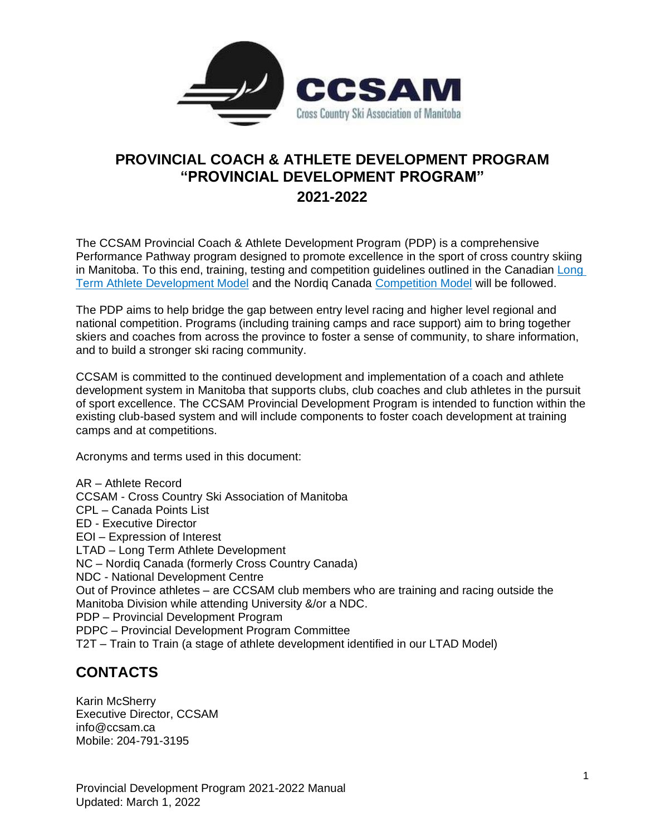

# **PROVINCIAL COACH & ATHLETE DEVELOPMENT PROGRAM "PROVINCIAL DEVELOPMENT PROGRAM" 2021-2022**

The CCSAM Provincial Coach & Athlete Development Program (PDP) is a comprehensive Performance Pathway program designed to promote excellence in the sport of cross country skiing in Manitoba. To this end, training, testing and competition guidelines outlined in the Canadian [Long](https://www.ccsam.ca/competitive-skiing/long-term-athlete-development/)  [Term Athlete Development Model](https://www.ccsam.ca/competitive-skiing/long-term-athlete-development/) and the Nordiq Canada [Competition Model](https://nordiqcanada.ca/skiers-and-programs/long-term-athlete-development/) will be followed.

The PDP aims to help bridge the gap between entry level racing and higher level regional and national competition. Programs (including training camps and race support) aim to bring together skiers and coaches from across the province to foster a sense of community, to share information, and to build a stronger ski racing community.

CCSAM is committed to the continued development and implementation of a coach and athlete development system in Manitoba that supports clubs, club coaches and club athletes in the pursuit of sport excellence. The CCSAM Provincial Development Program is intended to function within the existing club-based system and will include components to foster coach development at training camps and at competitions.

Acronyms and terms used in this document:

AR – Athlete Record CCSAM - Cross Country Ski Association of Manitoba CPL – Canada Points List ED - Executive Director EOI – Expression of Interest LTAD – Long Term Athlete Development NC – Nordiq Canada (formerly Cross Country Canada) NDC - National Development Centre Out of Province athletes – are CCSAM club members who are training and racing outside the Manitoba Division while attending University &/or a NDC. PDP – Provincial Development Program PDPC – Provincial Development Program Committee T2T – Train to Train (a stage of athlete development identified in our LTAD Model)

# **CONTACTS**

Karin McSherry Executive Director, CCSAM info@ccsam.ca Mobile: 204-791-3195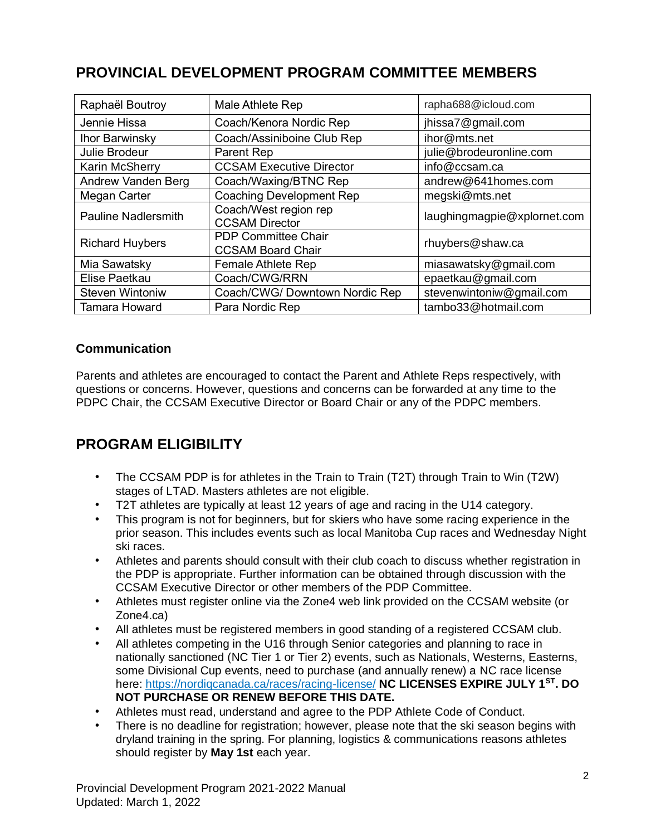# **PROVINCIAL DEVELOPMENT PROGRAM COMMITTEE MEMBERS**

| Raphaël Boutroy            | Male Athlete Rep                                       | rapha688@icloud.com         |
|----------------------------|--------------------------------------------------------|-----------------------------|
| Jennie Hissa               | Coach/Kenora Nordic Rep                                | jhissa7@gmail.com           |
| Ihor Barwinsky             | Coach/Assiniboine Club Rep                             | ihor@mts.net                |
| Julie Brodeur              | <b>Parent Rep</b>                                      | julie@brodeuronline.com     |
| Karin McSherry             | <b>CCSAM Executive Director</b>                        | info@ccsam.ca               |
| Andrew Vanden Berg         | Coach/Waxing/BTNC Rep                                  | andrew@641homes.com         |
| Megan Carter               | <b>Coaching Development Rep</b>                        | megski@mts.net              |
| <b>Pauline Nadlersmith</b> | Coach/West region rep<br><b>CCSAM Director</b>         | laughingmagpie@xplornet.com |
| <b>Richard Huybers</b>     | <b>PDP Committee Chair</b><br><b>CCSAM Board Chair</b> | rhuybers@shaw.ca            |
| Mia Sawatsky               | <b>Female Athlete Rep</b>                              | miasawatsky@gmail.com       |
| Elise Paetkau              | Coach/CWG/RRN                                          | epaetkau@gmail.com          |
| <b>Steven Wintoniw</b>     | Coach/CWG/ Downtown Nordic Rep                         | stevenwintoniw@gmail.com    |
| <b>Tamara Howard</b>       | Para Nordic Rep                                        | tambo33@hotmail.com         |

#### **Communication**

Parents and athletes are encouraged to contact the Parent and Athlete Reps respectively, with questions or concerns. However, questions and concerns can be forwarded at any time to the PDPC Chair, the CCSAM Executive Director or Board Chair or any of the PDPC members.

# **PROGRAM ELIGIBILITY**

- The CCSAM PDP is for athletes in the Train to Train (T2T) through Train to Win (T2W) stages of LTAD. Masters athletes are not eligible.
- T2T athletes are typically at least 12 years of age and racing in the U14 category.
- This program is not for beginners, but for skiers who have some racing experience in the prior season. This includes events such as local Manitoba Cup races and Wednesday Night ski races.
- Athletes and parents should consult with their club coach to discuss whether registration in the PDP is appropriate. Further information can be obtained through discussion with the CCSAM Executive Director or other members of the PDP Committee.
- Athletes must register online via the Zone4 web link provided on the CCSAM website (or Zone4.ca)
- All athletes must be registered members in good standing of a registered CCSAM club.
- All athletes competing in the U16 through Senior categories and planning to race in nationally sanctioned (NC Tier 1 or Tier 2) events, such as Nationals, Westerns, Easterns, some Divisional Cup events, need to purchase (and annually renew) a NC race license here:<https://nordiqcanada.ca/races/racing-license/> **NC LICENSES EXPIRE JULY 1ST. DO NOT PURCHASE OR RENEW BEFORE THIS DATE.**
- Athletes must read, understand and agree to the PDP Athlete Code of Conduct.
- There is no deadline for registration; however, please note that the ski season begins with dryland training in the spring. For planning, logistics & communications reasons athletes should register by **May 1st** each year.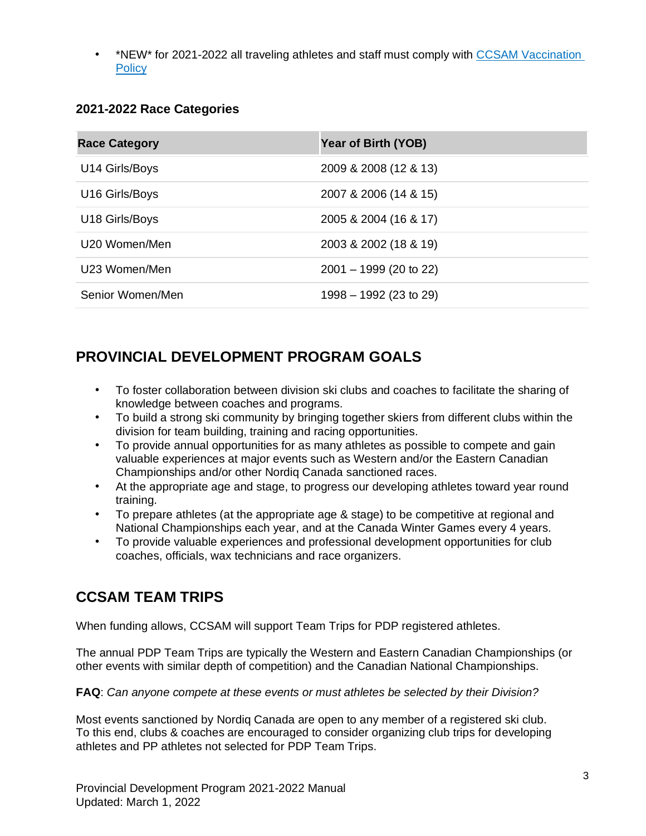• \*NEW\* for 2021-2022 all traveling athletes and staff must comply with [CCSAM Vaccination](https://www.ccsam.ca/wp-content/uploads/2021/11/policy-Covid19-Vaccination-Nov2021.pdf)  **[Policy](https://www.ccsam.ca/wp-content/uploads/2021/11/policy-Covid19-Vaccination-Nov2021.pdf)** 

#### **2021-2022 Race Categories**

| <b>Race Category</b> | Year of Birth (YOB)      |
|----------------------|--------------------------|
| U14 Girls/Boys       | 2009 & 2008 (12 & 13)    |
| U16 Girls/Boys       | 2007 & 2006 (14 & 15)    |
| U18 Girls/Boys       | 2005 & 2004 (16 & 17)    |
| U20 Women/Men        | 2003 & 2002 (18 & 19)    |
| U23 Women/Men        | $2001 - 1999$ (20 to 22) |
| Senior Women/Men     | 1998 - 1992 (23 to 29)   |

# **PROVINCIAL DEVELOPMENT PROGRAM GOALS**

- To foster collaboration between division ski clubs and coaches to facilitate the sharing of knowledge between coaches and programs.
- To build a strong ski community by bringing together skiers from different clubs within the division for team building, training and racing opportunities.
- To provide annual opportunities for as many athletes as possible to compete and gain valuable experiences at major events such as Western and/or the Eastern Canadian Championships and/or other Nordiq Canada sanctioned races.
- At the appropriate age and stage, to progress our developing athletes toward year round training.
- To prepare athletes (at the appropriate age & stage) to be competitive at regional and National Championships each year, and at the Canada Winter Games every 4 years.
- To provide valuable experiences and professional development opportunities for club coaches, officials, wax technicians and race organizers.

# **CCSAM TEAM TRIPS**

When funding allows, CCSAM will support Team Trips for PDP registered athletes.

The annual PDP Team Trips are typically the Western and Eastern Canadian Championships (or other events with similar depth of competition) and the Canadian National Championships.

**FAQ**: *Can anyone compete at these events or must athletes be selected by their Division?*

Most events sanctioned by Nordiq Canada are open to any member of a registered ski club. To this end, clubs & coaches are encouraged to consider organizing club trips for developing athletes and PP athletes not selected for PDP Team Trips.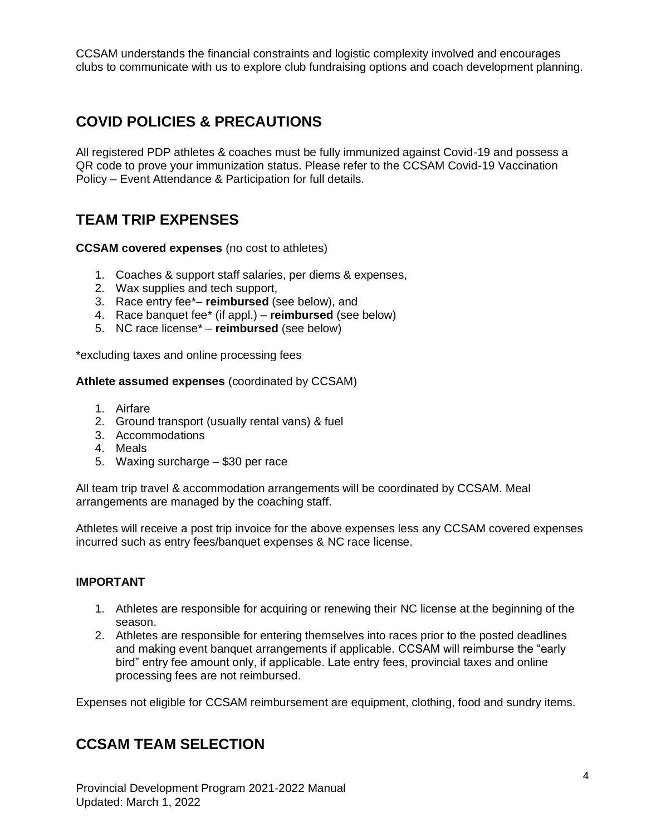CCSAM understands the financial constraints and logistic complexity involved and encourages clubs to communicate with us to explore club fundraising options and coach development planning.

# **COVID POLICIES & PRECAUTIONS**

All registered PDP athletes & coaches must be fully immunized against Covid-19 and possess a QR code to prove your immunization status. Please refer to the CCSAM Covid-19 Vaccination Policy – Event Attendance & Participation for full details.

# **TEAM TRIP EXPENSES**

#### **CCSAM covered expenses** (no cost to athletes)

- 1. Coaches & support staff salaries, per diems & expenses,
- 2. Wax supplies and tech support,
- 3. Race entry fee\*– **reimbursed** (see below), and
- 4. Race banquet fee\* (if appl.) **reimbursed** (see below)
- 5. NC race license\* **reimbursed** (see below)

\*excluding taxes and online processing fees

#### **Athlete assumed expenses** (coordinated by CCSAM)

- 1. Airfare
- 2. Ground transport (usually rental vans) & fuel
- 3. Accommodations
- 4. Meals
- 5. Waxing surcharge \$30 per race

All team trip travel & accommodation arrangements will be coordinated by CCSAM. Meal arrangements are managed by the coaching staff.

Athletes will receive a post trip invoice for the above expenses less any CCSAM covered expenses incurred such as entry fees/banquet expenses & NC race license.

#### **IMPORTANT**

- 1. Athletes are responsible for acquiring or renewing their NC license at the beginning of the season.
- 2. Athletes are responsible for entering themselves into races prior to the posted deadlines and making event banquet arrangements if applicable. CCSAM will reimburse the "early bird" entry fee amount only, if applicable. Late entry fees, provincial taxes and online processing fees are not reimbursed.

Expenses not eligible for CCSAM reimbursement are equipment, clothing, food and sundry items.

### **CCSAM TEAM SELECTION**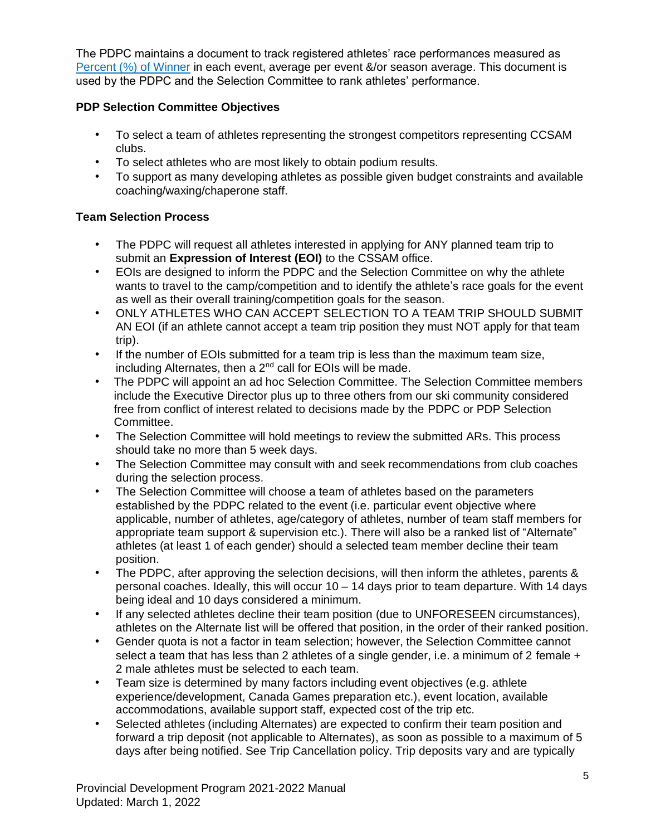The PDPC maintains a document to track registered athletes' race performances measured as [Percent \(%\) of Winner](https://docs.google.com/spreadsheets/d/1HDAsPTj_ZeEWqLAgeJn3v04fuBWJ3s4EJhJSHuiKZow/edit?usp=sharing) in each event, average per event &/or season average. This document is used by the PDPC and the Selection Committee to rank athletes' performance.

#### **PDP Selection Committee Objectives**

- To select a team of athletes representing the strongest competitors representing CCSAM clubs.
- To select athletes who are most likely to obtain podium results.
- To support as many developing athletes as possible given budget constraints and available coaching/waxing/chaperone staff.

#### **Team Selection Process**

- The PDPC will request all athletes interested in applying for ANY planned team trip to submit an **Expression of Interest (EOI)** to the CSSAM office.
- EOIs are designed to inform the PDPC and the Selection Committee on why the athlete wants to travel to the camp/competition and to identify the athlete's race goals for the event as well as their overall training/competition goals for the season.
- ONLY ATHLETES WHO CAN ACCEPT SELECTION TO A TEAM TRIP SHOULD SUBMIT AN EOI (if an athlete cannot accept a team trip position they must NOT apply for that team trip).
- If the number of EOIs submitted for a team trip is less than the maximum team size, including Alternates, then a  $2^{nd}$  call for EOIs will be made.
- The PDPC will appoint an ad hoc Selection Committee. The Selection Committee members include the Executive Director plus up to three others from our ski community considered free from conflict of interest related to decisions made by the PDPC or PDP Selection Committee.
- The Selection Committee will hold meetings to review the submitted ARs. This process should take no more than 5 week days.
- The Selection Committee may consult with and seek recommendations from club coaches during the selection process.
- The Selection Committee will choose a team of athletes based on the parameters established by the PDPC related to the event (i.e. particular event objective where applicable, number of athletes, age/category of athletes, number of team staff members for appropriate team support & supervision etc.). There will also be a ranked list of "Alternate" athletes (at least 1 of each gender) should a selected team member decline their team position.
- The PDPC, after approving the selection decisions, will then inform the athletes, parents & personal coaches. Ideally, this will occur 10 – 14 days prior to team departure. With 14 days being ideal and 10 days considered a minimum.
- If any selected athletes decline their team position (due to UNFORESEEN circumstances), athletes on the Alternate list will be offered that position, in the order of their ranked position.
- Gender quota is not a factor in team selection; however, the Selection Committee cannot select a team that has less than 2 athletes of a single gender, i.e. a minimum of 2 female  $+$ 2 male athletes must be selected to each team.
- Team size is determined by many factors including event objectives (e.g. athlete experience/development, Canada Games preparation etc.), event location, available accommodations, available support staff, expected cost of the trip etc.
- Selected athletes (including Alternates) are expected to confirm their team position and forward a trip deposit (not applicable to Alternates), as soon as possible to a maximum of 5 days after being notified. See Trip Cancellation policy. Trip deposits vary and are typically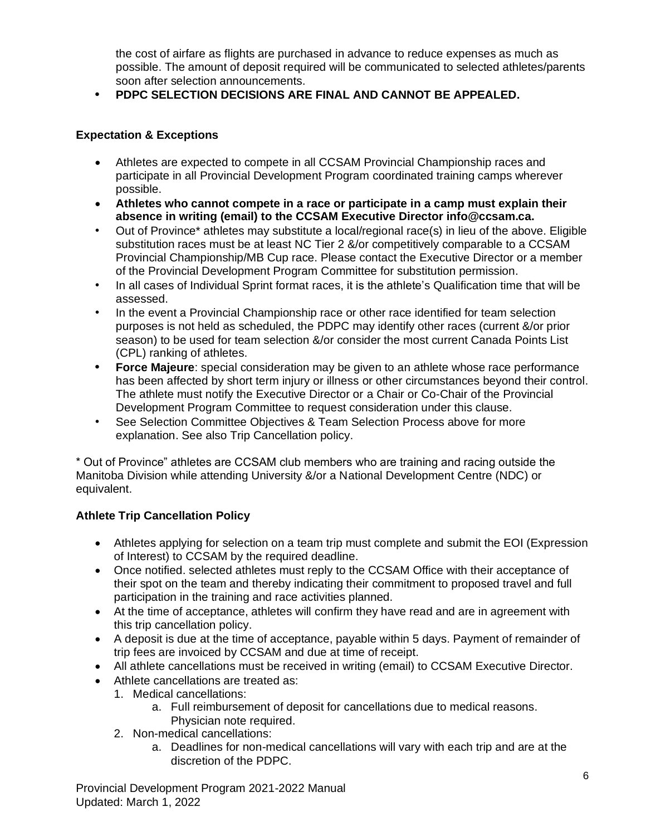the cost of airfare as flights are purchased in advance to reduce expenses as much as possible. The amount of deposit required will be communicated to selected athletes/parents soon after selection announcements.

**• PDPC SELECTION DECISIONS ARE FINAL AND CANNOT BE APPEALED.** 

#### **Expectation & Exceptions**

- Athletes are expected to compete in all CCSAM Provincial Championship races and participate in all Provincial Development Program coordinated training camps wherever possible.
- **Athletes who cannot compete in a race or participate in a camp must explain their absence in writing (email) to the CCSAM Executive Director info@ccsam.ca.**
- Out of Province\* athletes may substitute a local/regional race(s) in lieu of the above. Eligible substitution races must be at least NC Tier 2 &/or competitively comparable to a CCSAM Provincial Championship/MB Cup race. Please contact the Executive Director or a member of the Provincial Development Program Committee for substitution permission.
- In all cases of Individual Sprint format races, it is the athlete's Qualification time that will be assessed.
- In the event a Provincial Championship race or other race identified for team selection purposes is not held as scheduled, the PDPC may identify other races (current &/or prior season) to be used for team selection &/or consider the most current Canada Points List (CPL) ranking of athletes.
- **• Force Majeure**: special consideration may be given to an athlete whose race performance has been affected by short term injury or illness or other circumstances beyond their control. The athlete must notify the Executive Director or a Chair or Co-Chair of the Provincial Development Program Committee to request consideration under this clause.
- See Selection Committee Objectives & Team Selection Process above for more explanation. See also Trip Cancellation policy.

\* Out of Province" athletes are CCSAM club members who are training and racing outside the Manitoba Division while attending University &/or a National Development Centre (NDC) or equivalent.

#### **Athlete Trip Cancellation Policy**

- Athletes applying for selection on a team trip must complete and submit the EOI (Expression of Interest) to CCSAM by the required deadline.
- Once notified. selected athletes must reply to the CCSAM Office with their acceptance of their spot on the team and thereby indicating their commitment to proposed travel and full participation in the training and race activities planned.
- At the time of acceptance, athletes will confirm they have read and are in agreement with this trip cancellation policy.
- A deposit is due at the time of acceptance, payable within 5 days. Payment of remainder of trip fees are invoiced by CCSAM and due at time of receipt.
- All athlete cancellations must be received in writing (email) to CCSAM Executive Director.
- Athlete cancellations are treated as:
	- 1. Medical cancellations:
		- a. Full reimbursement of deposit for cancellations due to medical reasons. Physician note required.
	- 2. Non-medical cancellations:
		- a. Deadlines for non-medical cancellations will vary with each trip and are at the discretion of the PDPC.

Provincial Development Program 2021-2022 Manual Updated: March 1, 2022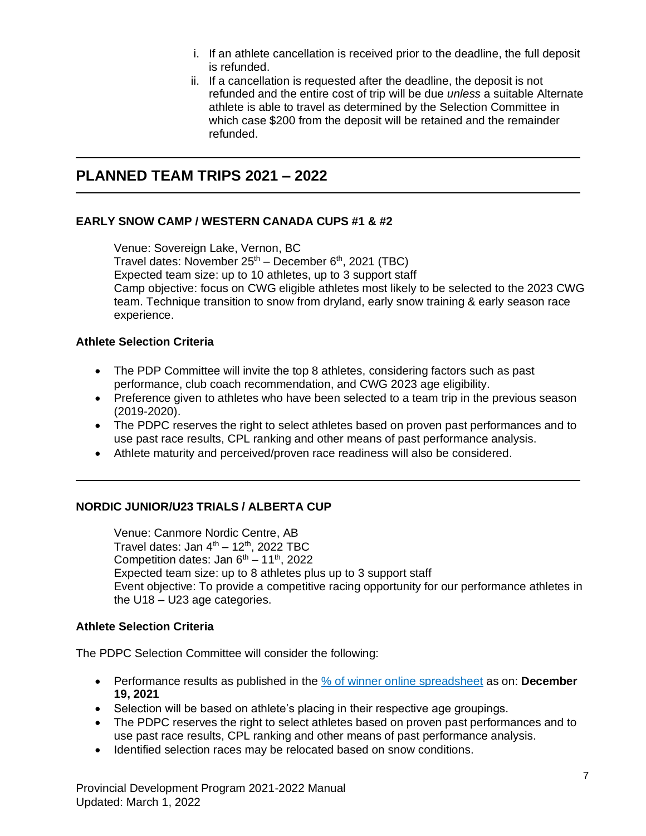- i. If an athlete cancellation is received prior to the deadline, the full deposit is refunded.
- ii. If a cancellation is requested after the deadline, the deposit is not refunded and the entire cost of trip will be due *unless* a suitable Alternate athlete is able to travel as determined by the Selection Committee in which case \$200 from the deposit will be retained and the remainder refunded.

### **PLANNED TEAM TRIPS 2021 – 2022**

#### **EARLY SNOW CAMP / WESTERN CANADA CUPS #1 & #2**

Venue: Sovereign Lake, Vernon, BC Travel dates: November 25<sup>th</sup> – December 6<sup>th</sup>, 2021 (TBC) Expected team size: up to 10 athletes, up to 3 support staff Camp objective: focus on CWG eligible athletes most likely to be selected to the 2023 CWG team. Technique transition to snow from dryland, early snow training & early season race experience.

#### **Athlete Selection Criteria**

- The PDP Committee will invite the top 8 athletes, considering factors such as past performance, club coach recommendation, and CWG 2023 age eligibility.
- Preference given to athletes who have been selected to a team trip in the previous season (2019-2020).
- The PDPC reserves the right to select athletes based on proven past performances and to use past race results, CPL ranking and other means of past performance analysis.
- Athlete maturity and perceived/proven race readiness will also be considered.

#### **NORDIC JUNIOR/U23 TRIALS / ALBERTA CUP**

Venue: Canmore Nordic Centre, AB Travel dates: Jan  $4<sup>th</sup> - 12<sup>th</sup>$ , 2022 TBC Competition dates: Jan  $6<sup>th</sup> - 11<sup>th</sup>$ , 2022 Expected team size: up to 8 athletes plus up to 3 support staff Event objective: To provide a competitive racing opportunity for our performance athletes in the U18 – U23 age categories.

#### **Athlete Selection Criteria**

The PDPC Selection Committee will consider the following:

- Performance results as published in the [% of winner online spreadsheet](https://docs.google.com/spreadsheets/d/1HDAsPTj_ZeEWqLAgeJn3v04fuBWJ3s4EJhJSHuiKZow/edit?usp=sharing) as on: **December 19, 2021**
- Selection will be based on athlete's placing in their respective age groupings.
- The PDPC reserves the right to select athletes based on proven past performances and to use past race results, CPL ranking and other means of past performance analysis.
- Identified selection races may be relocated based on snow conditions.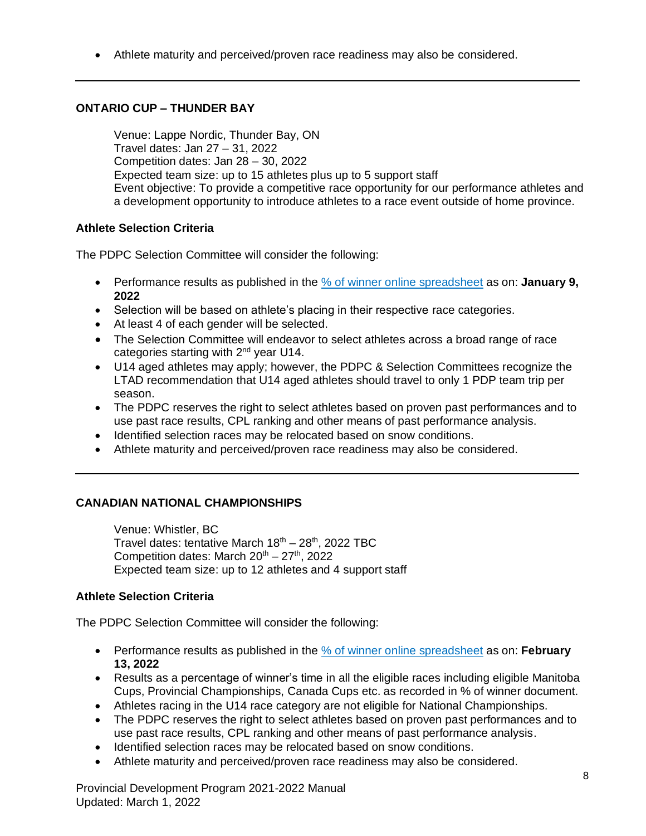• Athlete maturity and perceived/proven race readiness may also be considered.

#### **ONTARIO CUP – THUNDER BAY**

Venue: Lappe Nordic, Thunder Bay, ON Travel dates: Jan 27 – 31, 2022 Competition dates: Jan 28 – 30, 2022 Expected team size: up to 15 athletes plus up to 5 support staff Event objective: To provide a competitive race opportunity for our performance athletes and a development opportunity to introduce athletes to a race event outside of home province.

#### **Athlete Selection Criteria**

The PDPC Selection Committee will consider the following:

- Performance results as published in the [% of winner online spreadsheet](https://docs.google.com/spreadsheets/d/1HDAsPTj_ZeEWqLAgeJn3v04fuBWJ3s4EJhJSHuiKZow/edit?usp=sharing) as on: **January 9, 2022**
- Selection will be based on athlete's placing in their respective race categories.
- At least 4 of each gender will be selected.
- The Selection Committee will endeavor to select athletes across a broad range of race categories starting with  $2^{nd}$  year U14.
- U14 aged athletes may apply; however, the PDPC & Selection Committees recognize the LTAD recommendation that U14 aged athletes should travel to only 1 PDP team trip per season.
- The PDPC reserves the right to select athletes based on proven past performances and to use past race results, CPL ranking and other means of past performance analysis.
- Identified selection races may be relocated based on snow conditions.
- Athlete maturity and perceived/proven race readiness may also be considered.

#### **CANADIAN NATIONAL CHAMPIONSHIPS**

Venue: Whistler, BC Travel dates: tentative March  $18<sup>th</sup> - 28<sup>th</sup>$ , 2022 TBC Competition dates: March  $20^{th} - 27^{th}$ , 2022 Expected team size: up to 12 athletes and 4 support staff

#### **Athlete Selection Criteria**

The PDPC Selection Committee will consider the following:

- Performance results as published in the [% of winner online spreadsheet](https://docs.google.com/spreadsheets/d/1HDAsPTj_ZeEWqLAgeJn3v04fuBWJ3s4EJhJSHuiKZow/edit?usp=sharing) as on: **February 13, 2022**
- Results as a percentage of winner's time in all the eligible races including eligible Manitoba Cups, Provincial Championships, Canada Cups etc. as recorded in % of winner document.
- Athletes racing in the U14 race category are not eligible for National Championships.
- The PDPC reserves the right to select athletes based on proven past performances and to use past race results, CPL ranking and other means of past performance analysis.
- Identified selection races may be relocated based on snow conditions.
- Athlete maturity and perceived/proven race readiness may also be considered.

Provincial Development Program 2021-2022 Manual Updated: March 1, 2022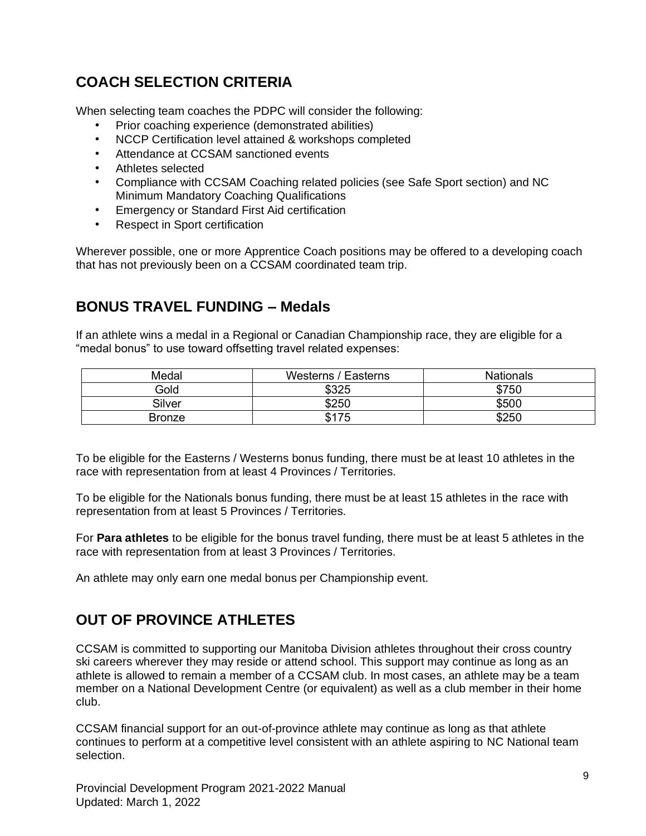# **COACH SELECTION CRITERIA**

When selecting team coaches the PDPC will consider the following:

- Prior coaching experience (demonstrated abilities)
- NCCP Certification level attained & workshops completed
- Attendance at CCSAM sanctioned events
- Athletes selected
- Compliance with CCSAM Coaching related policies (see Safe Sport section) and NC Minimum Mandatory Coaching Qualifications
- Emergency or Standard First Aid certification
- Respect in Sport certification

Wherever possible, one or more Apprentice Coach positions may be offered to a developing coach that has not previously been on a CCSAM coordinated team trip.

### **BONUS TRAVEL FUNDING – Medals**

If an athlete wins a medal in a Regional or Canadian Championship race, they are eligible for a "medal bonus" to use toward offsetting travel related expenses:

| Medal         | Westerns / Easterns | <b>Nationals</b> |
|---------------|---------------------|------------------|
| Gold          | \$325               | \$750            |
| Silver        | \$250               | \$500            |
| <b>Bronze</b> | \$175               | \$250            |

To be eligible for the Easterns / Westerns bonus funding, there must be at least 10 athletes in the race with representation from at least 4 Provinces / Territories.

To be eligible for the Nationals bonus funding, there must be at least 15 athletes in the race with representation from at least 5 Provinces / Territories.

For **Para athletes** to be eligible for the bonus travel funding, there must be at least 5 athletes in the race with representation from at least 3 Provinces / Territories.

An athlete may only earn one medal bonus per Championship event.

# **OUT OF PROVINCE ATHLETES**

CCSAM is committed to supporting our Manitoba Division athletes throughout their cross country ski careers wherever they may reside or attend school. This support may continue as long as an athlete is allowed to remain a member of a CCSAM club. In most cases, an athlete may be a team member on a National Development Centre (or equivalent) as well as a club member in their home club.

CCSAM financial support for an out-of-province athlete may continue as long as that athlete continues to perform at a competitive level consistent with an athlete aspiring to NC National team selection.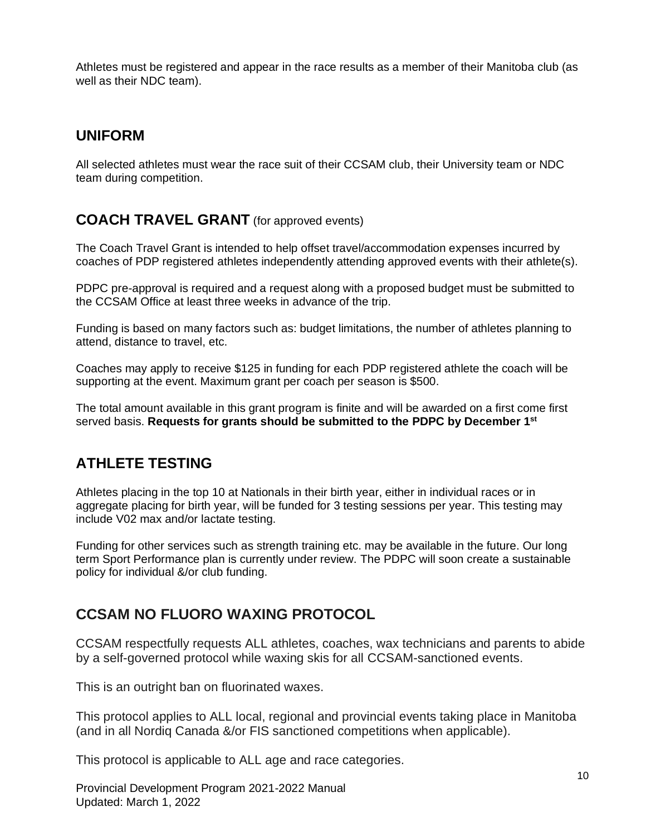Athletes must be registered and appear in the race results as a member of their Manitoba club (as well as their NDC team).

### **UNIFORM**

All selected athletes must wear the race suit of their CCSAM club, their University team or NDC team during competition.

### **COACH TRAVEL GRANT** (for approved events)

The Coach Travel Grant is intended to help offset travel/accommodation expenses incurred by coaches of PDP registered athletes independently attending approved events with their athlete(s).

PDPC pre-approval is required and a request along with a proposed budget must be submitted to the CCSAM Office at least three weeks in advance of the trip.

Funding is based on many factors such as: budget limitations, the number of athletes planning to attend, distance to travel, etc.

Coaches may apply to receive \$125 in funding for each PDP registered athlete the coach will be supporting at the event. Maximum grant per coach per season is \$500.

The total amount available in this grant program is finite and will be awarded on a first come first served basis. **Requests for grants should be submitted to the PDPC by December 1st**

# **ATHLETE TESTING**

Athletes placing in the top 10 at Nationals in their birth year, either in individual races or in aggregate placing for birth year, will be funded for 3 testing sessions per year. This testing may include V02 max and/or lactate testing.

Funding for other services such as strength training etc. may be available in the future. Our long term Sport Performance plan is currently under review. The PDPC will soon create a sustainable policy for individual &/or club funding.

# **CCSAM NO FLUORO WAXING PROTOCOL**

CCSAM respectfully requests ALL athletes, coaches, wax technicians and parents to abide by a self-governed protocol while waxing skis for all CCSAM-sanctioned events.

This is an outright ban on fluorinated waxes.

This protocol applies to ALL local, regional and provincial events taking place in Manitoba (and in all Nordiq Canada &/or FIS sanctioned competitions when applicable).

This protocol is applicable to ALL age and race categories.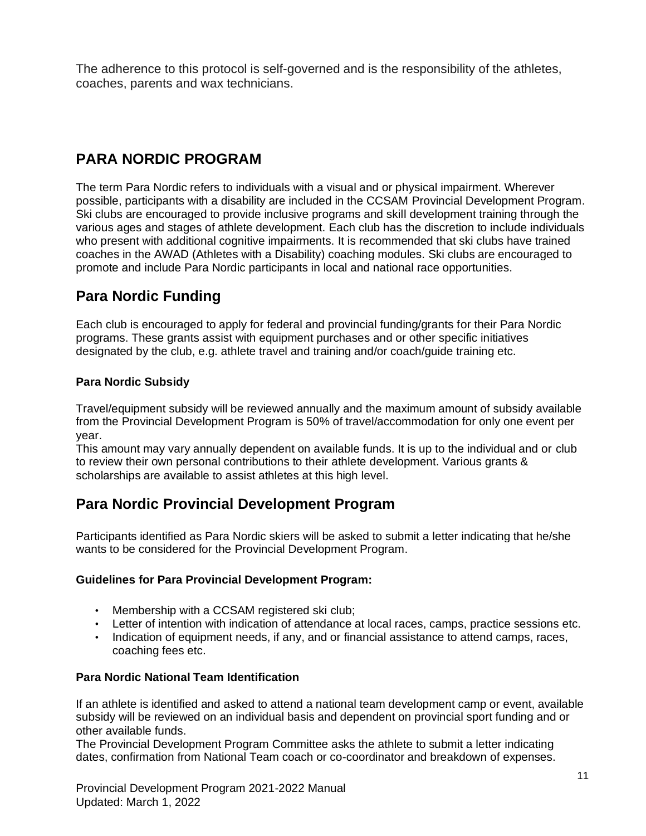The adherence to this protocol is self-governed and is the responsibility of the athletes, coaches, parents and wax technicians.

# **PARA NORDIC PROGRAM**

The term Para Nordic refers to individuals with a visual and or physical impairment. Wherever possible, participants with a disability are included in the CCSAM Provincial Development Program. Ski clubs are encouraged to provide inclusive programs and skill development training through the various ages and stages of athlete development. Each club has the discretion to include individuals who present with additional cognitive impairments. It is recommended that ski clubs have trained coaches in the AWAD (Athletes with a Disability) coaching modules. Ski clubs are encouraged to promote and include Para Nordic participants in local and national race opportunities.

# **Para Nordic Funding**

Each club is encouraged to apply for federal and provincial funding/grants for their Para Nordic programs. These grants assist with equipment purchases and or other specific initiatives designated by the club, e.g. athlete travel and training and/or coach/guide training etc.

#### **Para Nordic Subsidy**

Travel/equipment subsidy will be reviewed annually and the maximum amount of subsidy available from the Provincial Development Program is 50% of travel/accommodation for only one event per year.

This amount may vary annually dependent on available funds. It is up to the individual and or club to review their own personal contributions to their athlete development. Various grants & scholarships are available to assist athletes at this high level.

### **Para Nordic Provincial Development Program**

Participants identified as Para Nordic skiers will be asked to submit a letter indicating that he/she wants to be considered for the Provincial Development Program.

#### **Guidelines for Para Provincial Development Program:**

- Membership with a CCSAM registered ski club;
- Letter of intention with indication of attendance at local races, camps, practice sessions etc.
- Indication of equipment needs, if any, and or financial assistance to attend camps, races, coaching fees etc.

#### **Para Nordic National Team Identification**

If an athlete is identified and asked to attend a national team development camp or event, available subsidy will be reviewed on an individual basis and dependent on provincial sport funding and or other available funds.

The Provincial Development Program Committee asks the athlete to submit a letter indicating dates, confirmation from National Team coach or co-coordinator and breakdown of expenses.